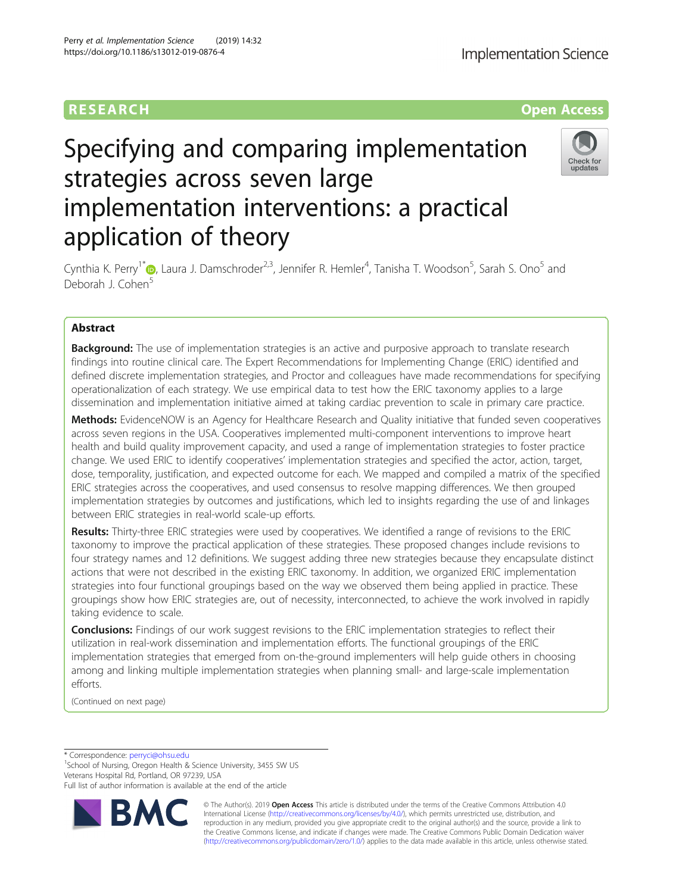# RESEARCH **RESEARCH CONSUMING THE CONSUMING THE CONSUMING TENS**

# Specifying and comparing implementation strategies across seven large implementation interventions: a practical application of theory



Cynthia K. Perry<sup>1\*</sup>�[,](http://orcid.org/0000-0002-8167-5936) Laura J. Damschroder<sup>2,3</sup>, Jennifer R. Hemler<sup>4</sup>, Tanisha T. Woodson<sup>5</sup>, Sarah S. Ono<sup>5</sup> and Deborah J. Cohen<sup>5</sup>

# Abstract

**Background:** The use of implementation strategies is an active and purposive approach to translate research findings into routine clinical care. The Expert Recommendations for Implementing Change (ERIC) identified and defined discrete implementation strategies, and Proctor and colleagues have made recommendations for specifying operationalization of each strategy. We use empirical data to test how the ERIC taxonomy applies to a large dissemination and implementation initiative aimed at taking cardiac prevention to scale in primary care practice.

Methods: EvidenceNOW is an Agency for Healthcare Research and Quality initiative that funded seven cooperatives across seven regions in the USA. Cooperatives implemented multi-component interventions to improve heart health and build quality improvement capacity, and used a range of implementation strategies to foster practice change. We used ERIC to identify cooperatives' implementation strategies and specified the actor, action, target, dose, temporality, justification, and expected outcome for each. We mapped and compiled a matrix of the specified ERIC strategies across the cooperatives, and used consensus to resolve mapping differences. We then grouped implementation strategies by outcomes and justifications, which led to insights regarding the use of and linkages between ERIC strategies in real-world scale-up efforts.

Results: Thirty-three ERIC strategies were used by cooperatives. We identified a range of revisions to the ERIC taxonomy to improve the practical application of these strategies. These proposed changes include revisions to four strategy names and 12 definitions. We suggest adding three new strategies because they encapsulate distinct actions that were not described in the existing ERIC taxonomy. In addition, we organized ERIC implementation strategies into four functional groupings based on the way we observed them being applied in practice. These groupings show how ERIC strategies are, out of necessity, interconnected, to achieve the work involved in rapidly taking evidence to scale.

**Conclusions:** Findings of our work suggest revisions to the ERIC implementation strategies to reflect their utilization in real-work dissemination and implementation efforts. The functional groupings of the ERIC implementation strategies that emerged from on-the-ground implementers will help guide others in choosing among and linking multiple implementation strategies when planning small- and large-scale implementation efforts.

(Continued on next page)

\* Correspondence: [perryci@ohsu.edu](mailto:perryci@ohsu.edu) <sup>1</sup>

<sup>1</sup>School of Nursing, Oregon Health & Science University, 3455 SW US Veterans Hospital Rd, Portland, OR 97239, USA

Full list of author information is available at the end of the article



© The Author(s). 2019 **Open Access** This article is distributed under the terms of the Creative Commons Attribution 4.0 International License [\(http://creativecommons.org/licenses/by/4.0/](http://creativecommons.org/licenses/by/4.0/)), which permits unrestricted use, distribution, and reproduction in any medium, provided you give appropriate credit to the original author(s) and the source, provide a link to the Creative Commons license, and indicate if changes were made. The Creative Commons Public Domain Dedication waiver [\(http://creativecommons.org/publicdomain/zero/1.0/](http://creativecommons.org/publicdomain/zero/1.0/)) applies to the data made available in this article, unless otherwise stated.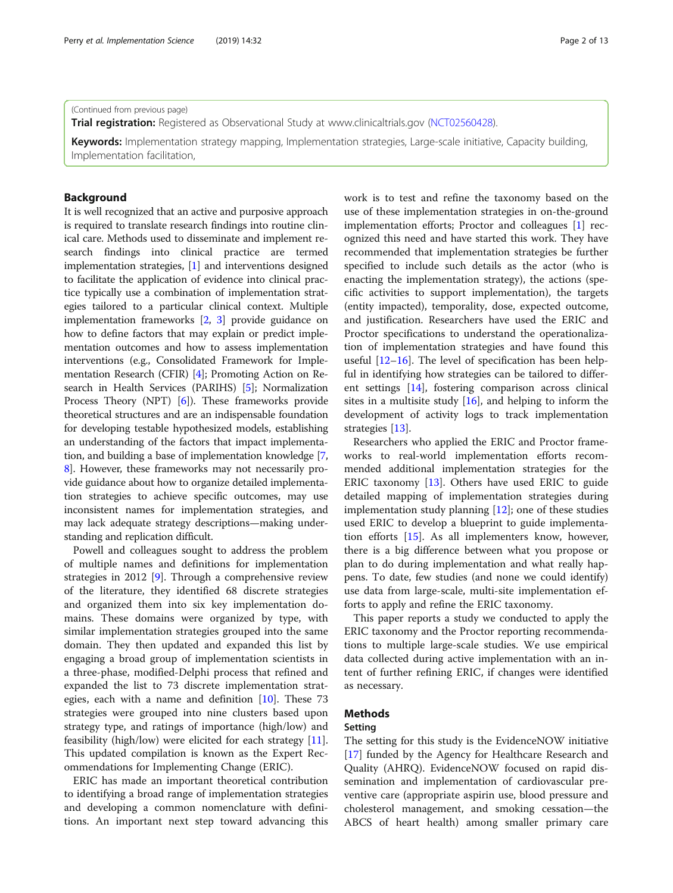#### (Continued from previous page)

**Trial registration:** Registered as Observational Study at www.clinicaltrials.gov [\(NCT02560428](https://clinicaltrials.gov/ct2/show/NCT02560428)).

Keywords: Implementation strategy mapping, Implementation strategies, Large-scale initiative, Capacity building, Implementation facilitation,

#### Background

It is well recognized that an active and purposive approach is required to translate research findings into routine clinical care. Methods used to disseminate and implement research findings into clinical practice are termed implementation strategies, [[1](#page-11-0)] and interventions designed to facilitate the application of evidence into clinical practice typically use a combination of implementation strategies tailored to a particular clinical context. Multiple implementation frameworks [\[2,](#page-11-0) [3\]](#page-11-0) provide guidance on how to define factors that may explain or predict implementation outcomes and how to assess implementation interventions (e.g., Consolidated Framework for Implementation Research (CFIR) [\[4](#page-11-0)]; Promoting Action on Research in Health Services (PARIHS) [\[5](#page-11-0)]; Normalization Process Theory (NPT) [\[6](#page-11-0)]). These frameworks provide theoretical structures and are an indispensable foundation for developing testable hypothesized models, establishing an understanding of the factors that impact implementation, and building a base of implementation knowledge [[7](#page-11-0), [8\]](#page-11-0). However, these frameworks may not necessarily provide guidance about how to organize detailed implementation strategies to achieve specific outcomes, may use inconsistent names for implementation strategies, and may lack adequate strategy descriptions—making understanding and replication difficult.

Powell and colleagues sought to address the problem of multiple names and definitions for implementation strategies in 2012 [[9\]](#page-11-0). Through a comprehensive review of the literature, they identified 68 discrete strategies and organized them into six key implementation domains. These domains were organized by type, with similar implementation strategies grouped into the same domain. They then updated and expanded this list by engaging a broad group of implementation scientists in a three-phase, modified-Delphi process that refined and expanded the list to 73 discrete implementation strategies, each with a name and definition  $[10]$  $[10]$ . These 73 strategies were grouped into nine clusters based upon strategy type, and ratings of importance (high/low) and feasibility (high/low) were elicited for each strategy [\[11](#page-11-0)]. This updated compilation is known as the Expert Recommendations for Implementing Change (ERIC).

ERIC has made an important theoretical contribution to identifying a broad range of implementation strategies and developing a common nomenclature with definitions. An important next step toward advancing this work is to test and refine the taxonomy based on the use of these implementation strategies in on-the-ground implementation efforts; Proctor and colleagues [\[1\]](#page-11-0) recognized this need and have started this work. They have recommended that implementation strategies be further specified to include such details as the actor (who is enacting the implementation strategy), the actions (specific activities to support implementation), the targets (entity impacted), temporality, dose, expected outcome, and justification. Researchers have used the ERIC and Proctor specifications to understand the operationalization of implementation strategies and have found this useful [[12](#page-11-0)–[16](#page-12-0)]. The level of specification has been helpful in identifying how strategies can be tailored to different settings [\[14](#page-12-0)], fostering comparison across clinical sites in a multisite study  $[16]$  $[16]$ , and helping to inform the development of activity logs to track implementation strategies [[13\]](#page-12-0).

Researchers who applied the ERIC and Proctor frameworks to real-world implementation efforts recommended additional implementation strategies for the ERIC taxonomy [\[13\]](#page-12-0). Others have used ERIC to guide detailed mapping of implementation strategies during implementation study planning [\[12](#page-11-0)]; one of these studies used ERIC to develop a blueprint to guide implementation efforts [[15](#page-12-0)]. As all implementers know, however, there is a big difference between what you propose or plan to do during implementation and what really happens. To date, few studies (and none we could identify) use data from large-scale, multi-site implementation efforts to apply and refine the ERIC taxonomy.

This paper reports a study we conducted to apply the ERIC taxonomy and the Proctor reporting recommendations to multiple large-scale studies. We use empirical data collected during active implementation with an intent of further refining ERIC, if changes were identified as necessary.

#### Methods

#### Setting

The setting for this study is the EvidenceNOW initiative [[17\]](#page-12-0) funded by the Agency for Healthcare Research and Quality (AHRQ). EvidenceNOW focused on rapid dissemination and implementation of cardiovascular preventive care (appropriate aspirin use, blood pressure and cholesterol management, and smoking cessation—the ABCS of heart health) among smaller primary care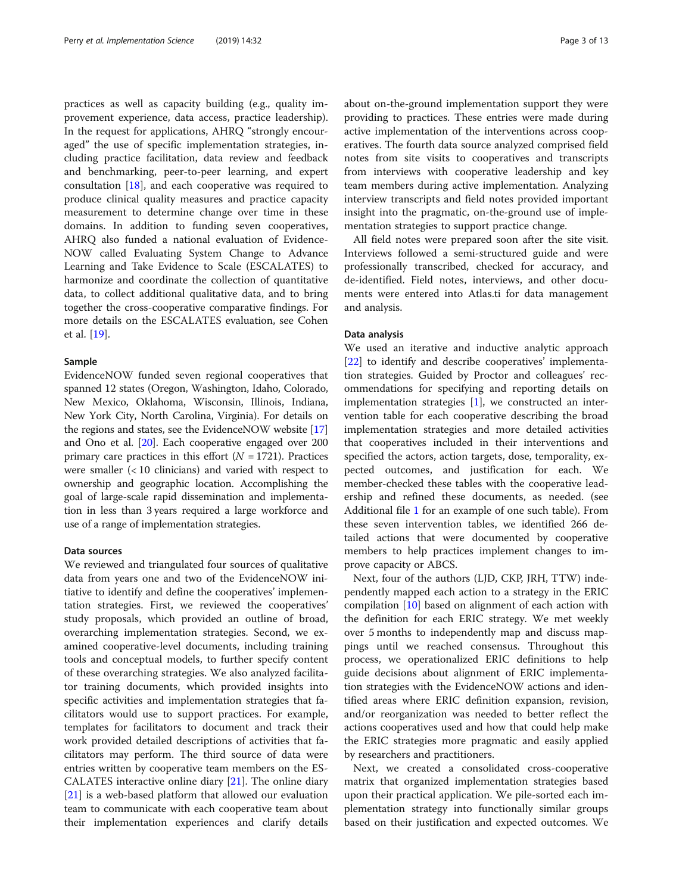practices as well as capacity building (e.g., quality improvement experience, data access, practice leadership). In the request for applications, AHRQ "strongly encouraged" the use of specific implementation strategies, including practice facilitation, data review and feedback and benchmarking, peer-to-peer learning, and expert consultation [\[18\]](#page-12-0), and each cooperative was required to produce clinical quality measures and practice capacity measurement to determine change over time in these domains. In addition to funding seven cooperatives, AHRQ also funded a national evaluation of Evidence-NOW called Evaluating System Change to Advance Learning and Take Evidence to Scale (ESCALATES) to harmonize and coordinate the collection of quantitative data, to collect additional qualitative data, and to bring together the cross-cooperative comparative findings. For more details on the ESCALATES evaluation, see Cohen et al. [\[19](#page-12-0)].

#### Sample

EvidenceNOW funded seven regional cooperatives that spanned 12 states (Oregon, Washington, Idaho, Colorado, New Mexico, Oklahoma, Wisconsin, Illinois, Indiana, New York City, North Carolina, Virginia). For details on the regions and states, see the EvidenceNOW website [[17](#page-12-0)] and Ono et al. [\[20\]](#page-12-0). Each cooperative engaged over 200 primary care practices in this effort  $(N = 1721)$ . Practices were smaller (< 10 clinicians) and varied with respect to ownership and geographic location. Accomplishing the goal of large-scale rapid dissemination and implementation in less than 3 years required a large workforce and use of a range of implementation strategies.

#### Data sources

We reviewed and triangulated four sources of qualitative data from years one and two of the EvidenceNOW initiative to identify and define the cooperatives' implementation strategies. First, we reviewed the cooperatives' study proposals, which provided an outline of broad, overarching implementation strategies. Second, we examined cooperative-level documents, including training tools and conceptual models, to further specify content of these overarching strategies. We also analyzed facilitator training documents, which provided insights into specific activities and implementation strategies that facilitators would use to support practices. For example, templates for facilitators to document and track their work provided detailed descriptions of activities that facilitators may perform. The third source of data were entries written by cooperative team members on the ES-CALATES interactive online diary [\[21\]](#page-12-0). The online diary [[21\]](#page-12-0) is a web-based platform that allowed our evaluation team to communicate with each cooperative team about their implementation experiences and clarify details

about on-the-ground implementation support they were providing to practices. These entries were made during active implementation of the interventions across cooperatives. The fourth data source analyzed comprised field notes from site visits to cooperatives and transcripts from interviews with cooperative leadership and key team members during active implementation. Analyzing interview transcripts and field notes provided important insight into the pragmatic, on-the-ground use of implementation strategies to support practice change.

All field notes were prepared soon after the site visit. Interviews followed a semi-structured guide and were professionally transcribed, checked for accuracy, and de-identified. Field notes, interviews, and other documents were entered into Atlas.ti for data management and analysis.

#### Data analysis

We used an iterative and inductive analytic approach [[22\]](#page-12-0) to identify and describe cooperatives' implementation strategies. Guided by Proctor and colleagues' recommendations for specifying and reporting details on implementation strategies  $[1]$  $[1]$ , we constructed an intervention table for each cooperative describing the broad implementation strategies and more detailed activities that cooperatives included in their interventions and specified the actors, action targets, dose, temporality, expected outcomes, and justification for each. We member-checked these tables with the cooperative leadership and refined these documents, as needed. (see Additional file [1](#page-11-0) for an example of one such table). From these seven intervention tables, we identified 266 detailed actions that were documented by cooperative members to help practices implement changes to improve capacity or ABCS.

Next, four of the authors (LJD, CKP, JRH, TTW) independently mapped each action to a strategy in the ERIC compilation [[10\]](#page-11-0) based on alignment of each action with the definition for each ERIC strategy. We met weekly over 5 months to independently map and discuss mappings until we reached consensus. Throughout this process, we operationalized ERIC definitions to help guide decisions about alignment of ERIC implementation strategies with the EvidenceNOW actions and identified areas where ERIC definition expansion, revision, and/or reorganization was needed to better reflect the actions cooperatives used and how that could help make the ERIC strategies more pragmatic and easily applied by researchers and practitioners.

Next, we created a consolidated cross-cooperative matrix that organized implementation strategies based upon their practical application. We pile-sorted each implementation strategy into functionally similar groups based on their justification and expected outcomes. We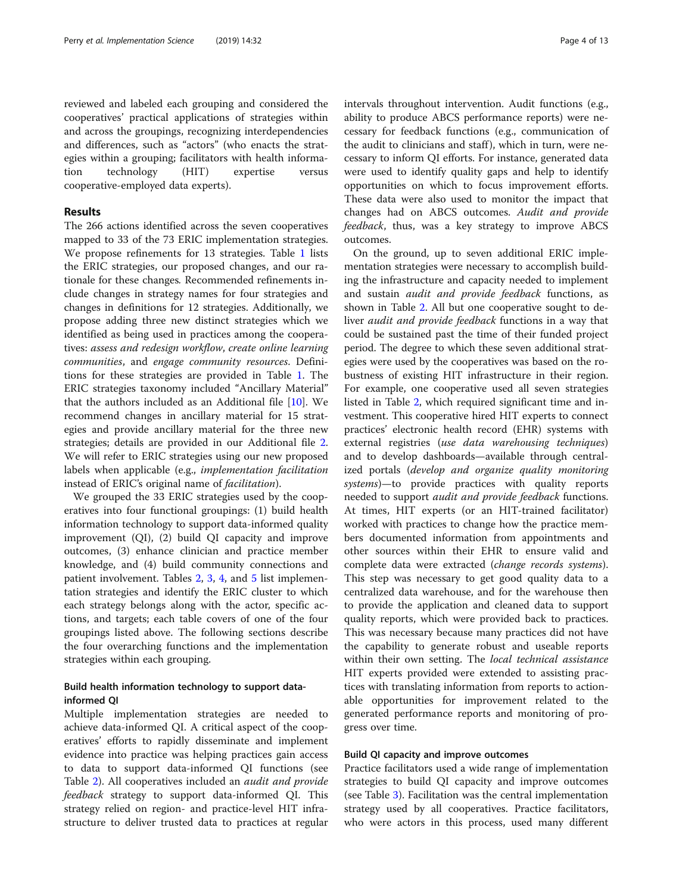reviewed and labeled each grouping and considered the cooperatives' practical applications of strategies within and across the groupings, recognizing interdependencies and differences, such as "actors" (who enacts the strategies within a grouping; facilitators with health information technology (HIT) expertise versus cooperative-employed data experts).

#### Results

The 266 actions identified across the seven cooperatives mapped to 33 of the 73 ERIC implementation strategies. We propose refinements for 13 strategies. Table [1](#page-4-0) lists the ERIC strategies, our proposed changes, and our rationale for these changes. Recommended refinements include changes in strategy names for four strategies and changes in definitions for 12 strategies. Additionally, we propose adding three new distinct strategies which we identified as being used in practices among the cooperatives: assess and redesign workflow, create online learning communities, and engage community resources. Definitions for these strategies are provided in Table [1.](#page-4-0) The ERIC strategies taxonomy included "Ancillary Material" that the authors included as an Additional file [\[10](#page-11-0)]. We recommend changes in ancillary material for 15 strategies and provide ancillary material for the three new strategies; details are provided in our Additional file [2](#page-11-0). We will refer to ERIC strategies using our new proposed labels when applicable (e.g., implementation facilitation instead of ERIC's original name of facilitation).

We grouped the 33 ERIC strategies used by the cooperatives into four functional groupings: (1) build health information technology to support data-informed quality improvement (QI), (2) build QI capacity and improve outcomes, (3) enhance clinician and practice member knowledge, and (4) build community connections and patient involvement. Tables [2](#page-6-0), [3](#page-7-0), [4,](#page-8-0) and [5](#page-9-0) list implementation strategies and identify the ERIC cluster to which each strategy belongs along with the actor, specific actions, and targets; each table covers of one of the four groupings listed above. The following sections describe the four overarching functions and the implementation strategies within each grouping.

### Build health information technology to support datainformed QI

Multiple implementation strategies are needed to achieve data-informed QI. A critical aspect of the cooperatives' efforts to rapidly disseminate and implement evidence into practice was helping practices gain access to data to support data-informed QI functions (see Table [2\)](#page-6-0). All cooperatives included an *audit and provide* feedback strategy to support data-informed QI. This strategy relied on region- and practice-level HIT infrastructure to deliver trusted data to practices at regular intervals throughout intervention. Audit functions (e.g., ability to produce ABCS performance reports) were necessary for feedback functions (e.g., communication of the audit to clinicians and staff ), which in turn, were necessary to inform QI efforts. For instance, generated data were used to identify quality gaps and help to identify opportunities on which to focus improvement efforts. These data were also used to monitor the impact that changes had on ABCS outcomes. Audit and provide feedback, thus, was a key strategy to improve ABCS outcomes.

On the ground, up to seven additional ERIC implementation strategies were necessary to accomplish building the infrastructure and capacity needed to implement and sustain audit and provide feedback functions, as shown in Table [2](#page-6-0). All but one cooperative sought to deliver audit and provide feedback functions in a way that could be sustained past the time of their funded project period. The degree to which these seven additional strategies were used by the cooperatives was based on the robustness of existing HIT infrastructure in their region. For example, one cooperative used all seven strategies listed in Table [2](#page-6-0), which required significant time and investment. This cooperative hired HIT experts to connect practices' electronic health record (EHR) systems with external registries (use data warehousing techniques) and to develop dashboards—available through centralized portals (develop and organize quality monitoring systems)—to provide practices with quality reports needed to support audit and provide feedback functions. At times, HIT experts (or an HIT-trained facilitator) worked with practices to change how the practice members documented information from appointments and other sources within their EHR to ensure valid and complete data were extracted (change records systems). This step was necessary to get good quality data to a centralized data warehouse, and for the warehouse then to provide the application and cleaned data to support quality reports, which were provided back to practices. This was necessary because many practices did not have the capability to generate robust and useable reports within their own setting. The *local technical assistance* HIT experts provided were extended to assisting practices with translating information from reports to actionable opportunities for improvement related to the generated performance reports and monitoring of progress over time.

#### Build QI capacity and improve outcomes

Practice facilitators used a wide range of implementation strategies to build QI capacity and improve outcomes (see Table [3\)](#page-7-0). Facilitation was the central implementation strategy used by all cooperatives. Practice facilitators, who were actors in this process, used many different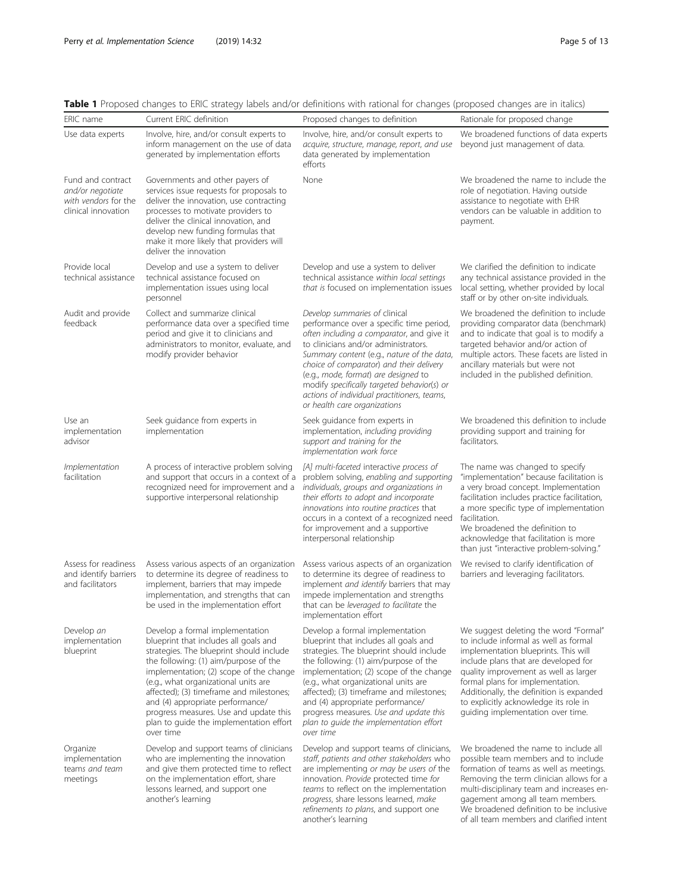|                                                                                      | <b>I</b> Troposed changes to Enterstrategy labels and/or deminions with rational for enanges (proposed changes are in italies)                                                                                                                                                                                                                                                                                                     |                                                                                                                                                                                                                                                                                                                                                                                                                                    |                                                                                                                                                                                                                                                                                                                                                                       |
|--------------------------------------------------------------------------------------|------------------------------------------------------------------------------------------------------------------------------------------------------------------------------------------------------------------------------------------------------------------------------------------------------------------------------------------------------------------------------------------------------------------------------------|------------------------------------------------------------------------------------------------------------------------------------------------------------------------------------------------------------------------------------------------------------------------------------------------------------------------------------------------------------------------------------------------------------------------------------|-----------------------------------------------------------------------------------------------------------------------------------------------------------------------------------------------------------------------------------------------------------------------------------------------------------------------------------------------------------------------|
| ERIC name                                                                            | Current ERIC definition                                                                                                                                                                                                                                                                                                                                                                                                            | Proposed changes to definition                                                                                                                                                                                                                                                                                                                                                                                                     | Rationale for proposed change                                                                                                                                                                                                                                                                                                                                         |
| Use data experts                                                                     | Involve, hire, and/or consult experts to<br>inform management on the use of data<br>generated by implementation efforts                                                                                                                                                                                                                                                                                                            | Involve, hire, and/or consult experts to<br>acquire, structure, manage, report, and use<br>data generated by implementation<br>efforts                                                                                                                                                                                                                                                                                             | We broadened functions of data experts<br>beyond just management of data.                                                                                                                                                                                                                                                                                             |
| Fund and contract<br>and/or negotiate<br>with vendors for the<br>clinical innovation | Governments and other payers of<br>services issue requests for proposals to<br>deliver the innovation, use contracting<br>processes to motivate providers to<br>deliver the clinical innovation, and<br>develop new funding formulas that<br>make it more likely that providers will<br>deliver the innovation                                                                                                                     | None                                                                                                                                                                                                                                                                                                                                                                                                                               | We broadened the name to include the<br>role of negotiation. Having outside<br>assistance to negotiate with EHR<br>vendors can be valuable in addition to<br>payment.                                                                                                                                                                                                 |
| Provide local<br>technical assistance                                                | Develop and use a system to deliver<br>technical assistance focused on<br>implementation issues using local<br>personnel                                                                                                                                                                                                                                                                                                           | Develop and use a system to deliver<br>technical assistance within local settings<br>that is focused on implementation issues                                                                                                                                                                                                                                                                                                      | We clarified the definition to indicate<br>any technical assistance provided in the<br>local setting, whether provided by local<br>staff or by other on-site individuals.                                                                                                                                                                                             |
| Audit and provide<br>feedback                                                        | Collect and summarize clinical<br>performance data over a specified time<br>period and give it to clinicians and<br>administrators to monitor, evaluate, and<br>modify provider behavior                                                                                                                                                                                                                                           | Develop summaries of clinical<br>performance over a specific time period,<br>often including a comparator, and give it<br>to clinicians and/or administrators.<br>Summary content (e.g., nature of the data,<br>choice of comparator) and their delivery<br>(e.g., mode, format) are designed to<br>modify specifically targeted behavior(s) or<br>actions of individual practitioners, teams,<br>or health care organizations     | We broadened the definition to include<br>providing comparator data (benchmark)<br>and to indicate that goal is to modify a<br>targeted behavior and/or action of<br>multiple actors. These facets are listed in<br>ancillary materials but were not<br>included in the published definition.                                                                         |
| Use an<br>implementation<br>advisor                                                  | Seek guidance from experts in<br>implementation                                                                                                                                                                                                                                                                                                                                                                                    | Seek guidance from experts in<br>implementation, including providing<br>support and training for the<br>implementation work force                                                                                                                                                                                                                                                                                                  | We broadened this definition to include<br>providing support and training for<br>facilitators.                                                                                                                                                                                                                                                                        |
| Implementation<br>facilitation                                                       | A process of interactive problem solving<br>and support that occurs in a context of a<br>recognized need for improvement and a<br>supportive interpersonal relationship                                                                                                                                                                                                                                                            | [A] multi-faceted interactive process of<br>problem solving, enabling and supporting<br>individuals, groups and organizations in<br>their efforts to adopt and incorporate<br>innovations into routine practices that<br>occurs in a context of a recognized need<br>for improvement and a supportive<br>interpersonal relationship                                                                                                | The name was changed to specify<br>"implementation" because facilitation is<br>a very broad concept. Implementation<br>facilitation includes practice facilitation,<br>a more specific type of implementation<br>facilitation.<br>We broadened the definition to<br>acknowledge that facilitation is more<br>than just "interactive problem-solving."                 |
| Assess for readiness<br>and identify barriers<br>and facilitators                    | Assess various aspects of an organization<br>to determine its degree of readiness to<br>implement, barriers that may impede<br>implementation, and strengths that can<br>be used in the implementation effort                                                                                                                                                                                                                      | Assess various aspects of an organization<br>to determine its degree of readiness to<br>implement and identify barriers that may<br>impede implementation and strengths<br>that can be leveraged to facilitate the<br>implementation effort                                                                                                                                                                                        | We revised to clarify identification of<br>barriers and leveraging facilitators.                                                                                                                                                                                                                                                                                      |
| Develop an<br>implementation<br>blueprint                                            | Develop a formal implementation<br>blueprint that includes all goals and<br>strategies. The blueprint should include<br>the following: (1) aim/purpose of the<br>implementation; (2) scope of the change<br>(e.g., what organizational units are<br>affected); (3) timeframe and milestones;<br>and (4) appropriate performance/<br>progress measures. Use and update this<br>plan to quide the implementation effort<br>over time | Develop a formal implementation<br>blueprint that includes all goals and<br>strategies. The blueprint should include<br>the following: (1) aim/purpose of the<br>implementation; (2) scope of the change<br>(e.g., what organizational units are<br>affected); (3) timeframe and milestones;<br>and (4) appropriate performance/<br>progress measures. Use and update this<br>plan to quide the implementation effort<br>over time | We suggest deleting the word "Formal"<br>to include informal as well as formal<br>implementation blueprints. This will<br>include plans that are developed for<br>quality improvement as well as larger<br>formal plans for implementation.<br>Additionally, the definition is expanded<br>to explicitly acknowledge its role in<br>guiding implementation over time. |
| Organize<br>implementation<br>teams and team<br>meetings                             | Develop and support teams of clinicians<br>who are implementing the innovation<br>and give them protected time to reflect<br>on the implementation effort, share<br>lessons learned, and support one<br>another's learning                                                                                                                                                                                                         | Develop and support teams of clinicians,<br>staff, patients and other stakeholders who<br>are implementing or may be users of the<br>innovation. Provide protected time for<br>teams to reflect on the implementation<br>progress, share lessons learned, make<br>refinements to plans, and support one<br>another's learning                                                                                                      | We broadened the name to include all<br>possible team members and to include<br>formation of teams as well as meetings.<br>Removing the term clinician allows for a<br>multi-disciplinary team and increases en-<br>gagement among all team members.<br>We broadened definition to be inclusive<br>of all team members and clarified intent                           |

## <span id="page-4-0"></span>Table 1 Proposed changes to ERIC strategy labels and/or definitions with rational for changes (proposed changes are in italics)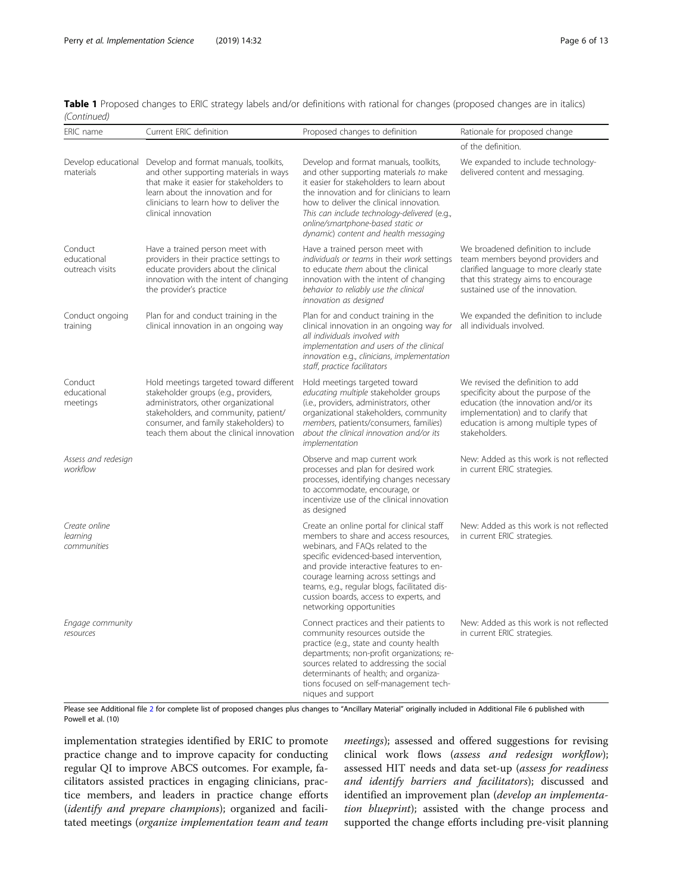| Table 1 Proposed changes to ERIC strategy labels and/or definitions with rational for changes (proposed changes are in italics) |  |  |  |  |  |
|---------------------------------------------------------------------------------------------------------------------------------|--|--|--|--|--|
| (Continued)                                                                                                                     |  |  |  |  |  |

| ERIC name                                 | Current ERIC definition                                                                                                                                                                                                                               | Proposed changes to definition                                                                                                                                                                                                                                                                                                                                               | Rationale for proposed change                                                                                                                                                                                    |
|-------------------------------------------|-------------------------------------------------------------------------------------------------------------------------------------------------------------------------------------------------------------------------------------------------------|------------------------------------------------------------------------------------------------------------------------------------------------------------------------------------------------------------------------------------------------------------------------------------------------------------------------------------------------------------------------------|------------------------------------------------------------------------------------------------------------------------------------------------------------------------------------------------------------------|
|                                           |                                                                                                                                                                                                                                                       |                                                                                                                                                                                                                                                                                                                                                                              | of the definition.                                                                                                                                                                                               |
| materials                                 | Develop educational Develop and format manuals, toolkits,<br>and other supporting materials in ways<br>that make it easier for stakeholders to<br>learn about the innovation and for<br>clinicians to learn how to deliver the<br>clinical innovation | Develop and format manuals, toolkits,<br>and other supporting materials to make<br>it easier for stakeholders to learn about<br>the innovation and for clinicians to learn<br>how to deliver the clinical innovation.<br>This can include technology-delivered (e.g.,<br>online/smartphone-based static or<br>dynamic) content and health messaging                          | We expanded to include technology-<br>delivered content and messaging.                                                                                                                                           |
| Conduct<br>educational<br>outreach visits | Have a trained person meet with<br>providers in their practice settings to<br>educate providers about the clinical<br>innovation with the intent of changing<br>the provider's practice                                                               | Have a trained person meet with<br>individuals or teams in their work settings<br>to educate them about the clinical<br>innovation with the intent of changing<br>behavior to reliably use the clinical<br>innovation as designed                                                                                                                                            | We broadened definition to include<br>team members beyond providers and<br>clarified language to more clearly state<br>that this strategy aims to encourage<br>sustained use of the innovation.                  |
| Conduct ongoing<br>training               | Plan for and conduct training in the<br>clinical innovation in an ongoing way                                                                                                                                                                         | Plan for and conduct training in the<br>clinical innovation in an ongoing way for<br>all individuals involved with<br>implementation and users of the clinical<br>innovation e.g., clinicians, implementation<br>staff, practice facilitators                                                                                                                                | We expanded the definition to include<br>all individuals involved.                                                                                                                                               |
| Conduct<br>educational<br>meetings        | Hold meetings targeted toward different<br>stakeholder groups (e.g., providers,<br>administrators, other organizational<br>stakeholders, and community, patient/<br>consumer, and family stakeholders) to<br>teach them about the clinical innovation | Hold meetings targeted toward<br>educating multiple stakeholder groups<br>(i.e., providers, administrators, other<br>organizational stakeholders, community<br>members, patients/consumers, families)<br>about the clinical innovation and/or its<br>implementation                                                                                                          | We revised the definition to add<br>specificity about the purpose of the<br>education (the innovation and/or its<br>implementation) and to clarify that<br>education is among multiple types of<br>stakeholders. |
| Assess and redesign<br>workflow           |                                                                                                                                                                                                                                                       | Observe and map current work<br>processes and plan for desired work<br>processes, identifying changes necessary<br>to accommodate, encourage, or<br>incentivize use of the clinical innovation<br>as designed                                                                                                                                                                | New: Added as this work is not reflected<br>in current ERIC strategies.                                                                                                                                          |
| Create online<br>learning<br>communities  |                                                                                                                                                                                                                                                       | Create an online portal for clinical staff<br>members to share and access resources,<br>webinars, and FAQs related to the<br>specific evidenced-based intervention,<br>and provide interactive features to en-<br>courage learning across settings and<br>teams, e.g., regular blogs, facilitated dis-<br>cussion boards, access to experts, and<br>networking opportunities | New: Added as this work is not reflected<br>in current ERIC strategies.                                                                                                                                          |
| Engage community<br>resources             |                                                                                                                                                                                                                                                       | Connect practices and their patients to<br>community resources outside the<br>practice (e.g., state and county health<br>departments; non-profit organizations; re-<br>sources related to addressing the social<br>determinants of health; and organiza-<br>tions focused on self-management tech-<br>niques and support                                                     | New: Added as this work is not reflected<br>in current ERIC strategies.                                                                                                                                          |

Please see Additional file [2](#page-11-0) for complete list of proposed changes plus changes to "Ancillary Material" originally included in Additional File 6 published with Powell et al. (10)

implementation strategies identified by ERIC to promote practice change and to improve capacity for conducting regular QI to improve ABCS outcomes. For example, facilitators assisted practices in engaging clinicians, practice members, and leaders in practice change efforts (identify and prepare champions); organized and facilitated meetings (organize implementation team and team

meetings); assessed and offered suggestions for revising clinical work flows (assess and redesign workflow); assessed HIT needs and data set-up (assess for readiness and identify barriers and facilitators); discussed and identified an improvement plan (develop an implementation blueprint); assisted with the change process and supported the change efforts including pre-visit planning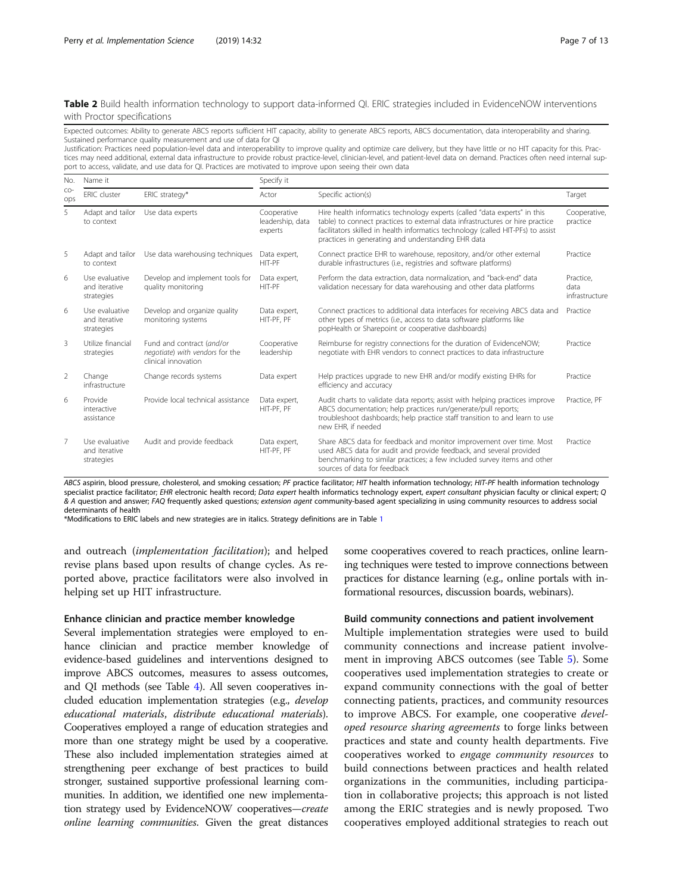#### <span id="page-6-0"></span>Table 2 Build health information technology to support data-informed QI. ERIC strategies included in EvidenceNOW interventions with Proctor specifications

Expected outcomes: Ability to generate ABCS reports sufficient HIT capacity, ability to generate ABCS reports, ABCS documentation, data interoperability and sharing. Sustained performance quality measurement and use of data for QI

Justification: Practices need population-level data and interoperability to improve quality and optimize care delivery, but they have little or no HIT capacity for this. Practices may need additional, external data infrastructure to provide robust practice-level, clinician-level, and patient-level data on demand. Practices often need internal support to access, validate, and use data for QI. Practices are motivated to improve upon seeing their own data

| No.            | Name it                                       |                                                                                     | Specify it                                 |                                                                                                                                                                                                                                                                                                      |                                     |  |  |
|----------------|-----------------------------------------------|-------------------------------------------------------------------------------------|--------------------------------------------|------------------------------------------------------------------------------------------------------------------------------------------------------------------------------------------------------------------------------------------------------------------------------------------------------|-------------------------------------|--|--|
| $CO-$<br>ops   | <b>ERIC</b> cluster                           | ERIC strategy*                                                                      | Actor                                      | Specific action(s)                                                                                                                                                                                                                                                                                   | Target                              |  |  |
| 5              | Adapt and tailor<br>to context                | Use data experts                                                                    | Cooperative<br>leadership, data<br>experts | Hire health informatics technology experts (called "data experts" in this<br>table) to connect practices to external data infrastructures or hire practice<br>facilitators skilled in health informatics technology (called HIT-PFs) to assist<br>practices in generating and understanding EHR data | Cooperative,<br>practice            |  |  |
| 5              | Adapt and tailor<br>to context                | Use data warehousing techniques                                                     | Data expert,<br>HIT-PF                     | Connect practice EHR to warehouse, repository, and/or other external<br>durable infrastructures (i.e., registries and software platforms)                                                                                                                                                            | Practice                            |  |  |
| 6              | Use evaluative<br>and iterative<br>strategies | Develop and implement tools for<br>quality monitoring                               | Data expert,<br>HIT-PF                     | Perform the data extraction, data normalization, and "back-end" data<br>validation necessary for data warehousing and other data platforms                                                                                                                                                           | Practice,<br>data<br>infrastructure |  |  |
| 6              | Use evaluative<br>and iterative<br>strategies | Develop and organize quality<br>monitoring systems                                  | Data expert,<br>HIT-PF, PF                 | Connect practices to additional data interfaces for receiving ABCS data and<br>other types of metrics (i.e., access to data software platforms like<br>popHealth or Sharepoint or cooperative dashboards)                                                                                            | Practice                            |  |  |
| 3              | Utilize financial<br>strategies               | Fund and contract (and/or<br>negotiate) with vendors for the<br>clinical innovation | Cooperative<br>leadership                  | Reimburse for registry connections for the duration of EvidenceNOW;<br>negotiate with EHR vendors to connect practices to data infrastructure                                                                                                                                                        | Practice                            |  |  |
| 2              | Change<br>infrastructure                      | Change records systems                                                              | Data expert                                | Help practices upgrade to new EHR and/or modify existing EHRs for<br>efficiency and accuracy                                                                                                                                                                                                         | Practice                            |  |  |
| 6              | Provide<br>interactive<br>assistance          | Provide local technical assistance                                                  | Data expert,<br>HIT-PF, PF                 | Audit charts to validate data reports; assist with helping practices improve<br>ABCS documentation; help practices run/generate/pull reports;<br>troubleshoot dashboards; help practice staff transition to and learn to use<br>new EHR, if needed                                                   | Practice, PF                        |  |  |
| $\overline{7}$ | Use evaluative<br>and iterative<br>strategies | Audit and provide feedback                                                          | Data expert,<br>HIT-PF, PF                 | Share ABCS data for feedback and monitor improvement over time. Most<br>used ABCS data for audit and provide feedback, and several provided<br>benchmarking to similar practices; a few included survey items and other<br>sources of data for feedback                                              | Practice                            |  |  |

ABCS aspirin, blood pressure, cholesterol, and smoking cessation; PF practice facilitator; HIT health information technology; HIT-PF health information technology specialist practice facilitator; EHR electronic health record; Data expert health informatics technology expert, expert consultant physician faculty or clinical expert; Q & A question and answer; FAQ frequently asked questions; extension agent community-based agent specializing in using community resources to address social determinants of health

\*Modifications to ERIC labels and new strategies are in italics. Strategy definitions are in Table [1](#page-4-0)

and outreach (implementation facilitation); and helped revise plans based upon results of change cycles. As reported above, practice facilitators were also involved in helping set up HIT infrastructure.

#### Enhance clinician and practice member knowledge

Several implementation strategies were employed to enhance clinician and practice member knowledge of evidence-based guidelines and interventions designed to improve ABCS outcomes, measures to assess outcomes, and QI methods (see Table [4](#page-8-0)). All seven cooperatives included education implementation strategies (e.g., develop educational materials, distribute educational materials). Cooperatives employed a range of education strategies and more than one strategy might be used by a cooperative. These also included implementation strategies aimed at strengthening peer exchange of best practices to build stronger, sustained supportive professional learning communities. In addition, we identified one new implementation strategy used by EvidenceNOW cooperatives—create online learning communities. Given the great distances some cooperatives covered to reach practices, online learning techniques were tested to improve connections between practices for distance learning (e.g., online portals with informational resources, discussion boards, webinars).

#### Build community connections and patient involvement

Multiple implementation strategies were used to build community connections and increase patient involvement in improving ABCS outcomes (see Table [5](#page-9-0)). Some cooperatives used implementation strategies to create or expand community connections with the goal of better connecting patients, practices, and community resources to improve ABCS. For example, one cooperative *devel*oped resource sharing agreements to forge links between practices and state and county health departments. Five cooperatives worked to engage community resources to build connections between practices and health related organizations in the communities, including participation in collaborative projects; this approach is not listed among the ERIC strategies and is newly proposed. Two cooperatives employed additional strategies to reach out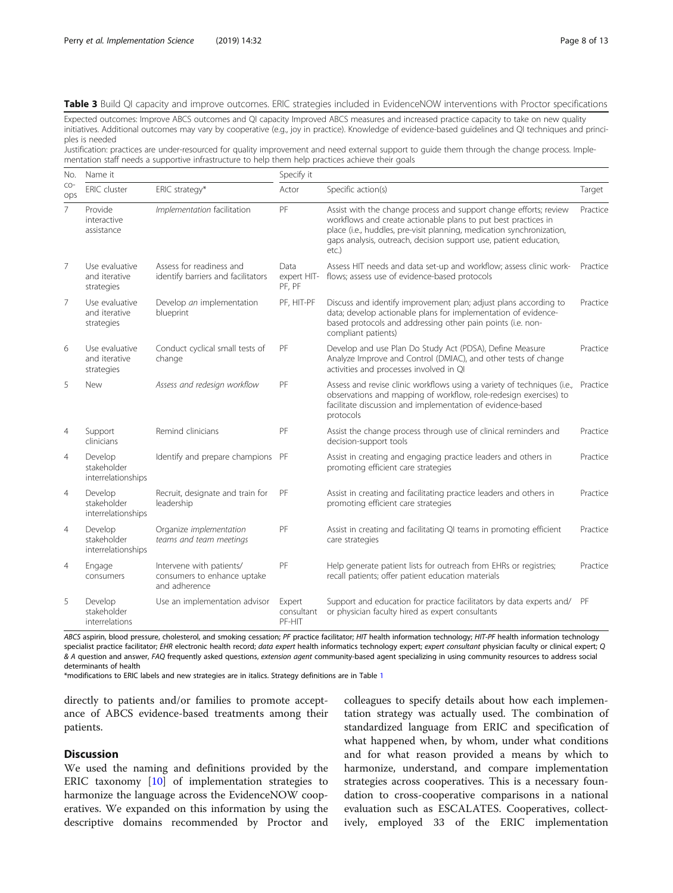#### <span id="page-7-0"></span>Table 3 Build QI capacity and improve outcomes. ERIC strategies included in EvidenceNOW interventions with Proctor specifications

Expected outcomes: Improve ABCS outcomes and QI capacity Improved ABCS measures and increased practice capacity to take on new quality initiatives. Additional outcomes may vary by cooperative (e.g., joy in practice). Knowledge of evidence-based guidelines and QI techniques and principles is needed

Justification: practices are under-resourced for quality improvement and need external support to guide them through the change process. Implementation staff needs a supportive infrastructure to help them help practices achieve their goals

| No.            | Name it                                       |                                                                          | Specify it                     |                                                                                                                                                                                                                                                                                            |          |  |  |
|----------------|-----------------------------------------------|--------------------------------------------------------------------------|--------------------------------|--------------------------------------------------------------------------------------------------------------------------------------------------------------------------------------------------------------------------------------------------------------------------------------------|----------|--|--|
| $CO-$<br>ops   | <b>ERIC</b> cluster                           | ERIC strategy*                                                           | Actor                          | Specific action(s)                                                                                                                                                                                                                                                                         | Target   |  |  |
| $\overline{7}$ | Provide<br>interactive<br>assistance          | Implementation facilitation                                              | PF                             | Assist with the change process and support change efforts; review<br>workflows and create actionable plans to put best practices in<br>place (i.e., huddles, pre-visit planning, medication synchronization,<br>gaps analysis, outreach, decision support use, patient education,<br>etc.) | Practice |  |  |
| 7              | Use evaluative<br>and iterative<br>strategies | Assess for readiness and<br>identify barriers and facilitators           | Data<br>expert HIT-<br>PF, PF  | Assess HIT needs and data set-up and workflow; assess clinic work-<br>flows; assess use of evidence-based protocols                                                                                                                                                                        | Practice |  |  |
| 7              | Use evaluative<br>and iterative<br>strategies | Develop an implementation<br>blueprint                                   | PF, HIT-PF                     | Discuss and identify improvement plan; adjust plans according to<br>data; develop actionable plans for implementation of evidence-<br>based protocols and addressing other pain points (i.e. non-<br>compliant patients)                                                                   | Practice |  |  |
| 6              | Use evaluative<br>and iterative<br>strategies | Conduct cyclical small tests of<br>change                                | PF                             | Develop and use Plan Do Study Act (PDSA), Define Measure<br>Analyze Improve and Control (DMIAC), and other tests of change<br>activities and processes involved in QI                                                                                                                      | Practice |  |  |
| 5              | New                                           | Assess and redesign workflow                                             | PF                             | Assess and revise clinic workflows using a variety of techniques (i.e.,<br>observations and mapping of workflow, role-redesign exercises) to<br>facilitate discussion and implementation of evidence-based<br>protocols                                                                    | Practice |  |  |
| $\overline{4}$ | Support<br>clinicians                         | Remind clinicians                                                        | PF                             | Assist the change process through use of clinical reminders and<br>decision-support tools                                                                                                                                                                                                  | Practice |  |  |
| $\overline{4}$ | Develop<br>stakeholder<br>interrelationships  | Identify and prepare champions                                           | PF                             | Assist in creating and engaging practice leaders and others in<br>promoting efficient care strategies                                                                                                                                                                                      | Practice |  |  |
| $\overline{4}$ | Develop<br>stakeholder<br>interrelationships  | Recruit, designate and train for<br>leadership                           | PF                             | Assist in creating and facilitating practice leaders and others in<br>promoting efficient care strategies                                                                                                                                                                                  | Practice |  |  |
| $\overline{4}$ | Develop<br>stakeholder<br>interrelationships  | Organize implementation<br>teams and team meetings                       | PF                             | Assist in creating and facilitating QI teams in promoting efficient<br>care strategies                                                                                                                                                                                                     | Practice |  |  |
| $\overline{4}$ | Engage<br>consumers                           | Intervene with patients/<br>consumers to enhance uptake<br>and adherence | PF                             | Help generate patient lists for outreach from EHRs or registries;<br>recall patients; offer patient education materials                                                                                                                                                                    | Practice |  |  |
| 5              | Develop<br>stakeholder<br>interrelations      | Use an implementation advisor                                            | Expert<br>consultant<br>PF-HIT | Support and education for practice facilitators by data experts and/<br>or physician faculty hired as expert consultants                                                                                                                                                                   | PF       |  |  |

ABCS aspirin, blood pressure, cholesterol, and smoking cessation; PF practice facilitator; HIT health information technology; HIT-PF health information technology specialist practice facilitator; EHR electronic health record; data expert health informatics technology expert; expert consultant physician faculty or clinical expert; Q & A question and answer, FAQ frequently asked questions, extension agent community-based agent specializing in using community resources to address social determinants of health

\*modifications to ERIC labels and new strategies are in italics. Strategy definitions are in Table [1](#page-4-0)

directly to patients and/or families to promote acceptance of ABCS evidence-based treatments among their patients.

#### **Discussion**

We used the naming and definitions provided by the ERIC taxonomy [\[10\]](#page-11-0) of implementation strategies to harmonize the language across the EvidenceNOW cooperatives. We expanded on this information by using the descriptive domains recommended by Proctor and

colleagues to specify details about how each implementation strategy was actually used. The combination of standardized language from ERIC and specification of what happened when, by whom, under what conditions and for what reason provided a means by which to harmonize, understand, and compare implementation strategies across cooperatives. This is a necessary foundation to cross-cooperative comparisons in a national evaluation such as ESCALATES. Cooperatives, collectively, employed 33 of the ERIC implementation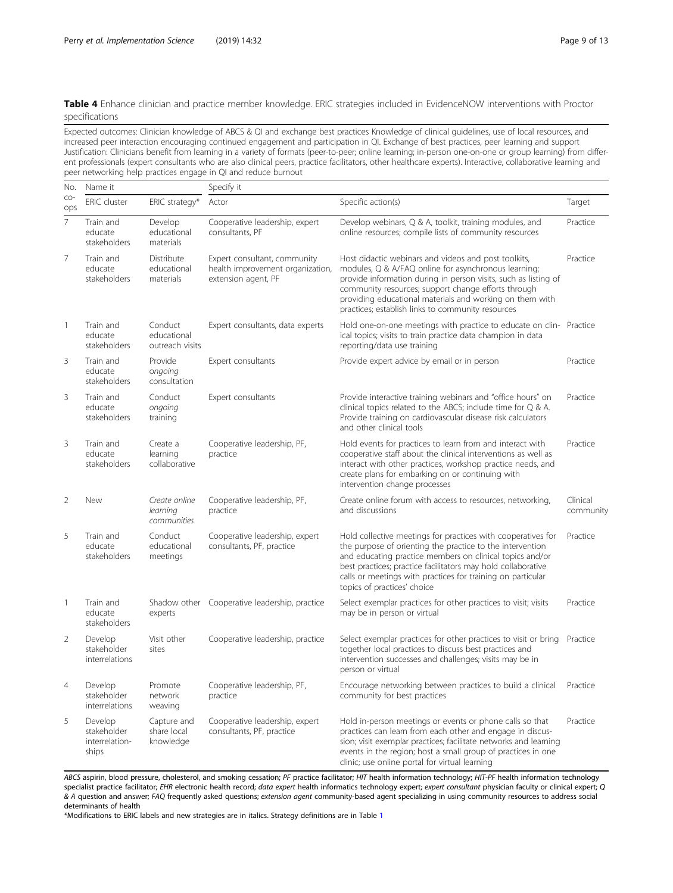<span id="page-8-0"></span>Table 4 Enhance clinician and practice member knowledge. ERIC strategies included in EvidenceNOW interventions with Proctor specifications

Expected outcomes: Clinician knowledge of ABCS & QI and exchange best practices Knowledge of clinical guidelines, use of local resources, and increased peer interaction encouraging continued engagement and participation in QI. Exchange of best practices, peer learning and support Justification: Clinicians benefit from learning in a variety of formats (peer-to-peer; online learning; in-person one-on-one or group learning) from different professionals (expert consultants who are also clinical peers, practice facilitators, other healthcare experts). Interactive, collaborative learning and peer networking help practices engage in QI and reduce burnout

| No.            | Name it                                           |                                           | Specify it                                                                              |                                                                                                                                                                                                                                                                                                                                                         |                       |
|----------------|---------------------------------------------------|-------------------------------------------|-----------------------------------------------------------------------------------------|---------------------------------------------------------------------------------------------------------------------------------------------------------------------------------------------------------------------------------------------------------------------------------------------------------------------------------------------------------|-----------------------|
| $CO-$<br>ops   | <b>ERIC</b> cluster                               | ERIC strategy*                            | Actor                                                                                   | Specific action(s)                                                                                                                                                                                                                                                                                                                                      | Target                |
| $\overline{7}$ | Train and<br>educate<br>stakeholders              | Develop<br>educational<br>materials       | Cooperative leadership, expert<br>consultants, PF                                       | Develop webinars, Q & A, toolkit, training modules, and<br>online resources; compile lists of community resources                                                                                                                                                                                                                                       | Practice              |
| $\overline{7}$ | Train and<br>educate<br>stakeholders              | Distribute<br>educational<br>materials    | Expert consultant, community<br>health improvement organization,<br>extension agent, PF | Host didactic webinars and videos and post toolkits,<br>modules, Q & A/FAQ online for asynchronous learning;<br>provide information during in person visits, such as listing of<br>community resources; support change efforts through<br>providing educational materials and working on them with<br>practices; establish links to community resources | Practice              |
| 1              | Train and<br>educate<br>stakeholders              | Conduct<br>educational<br>outreach visits | Expert consultants, data experts                                                        | Hold one-on-one meetings with practice to educate on clin- Practice<br>ical topics; visits to train practice data champion in data<br>reporting/data use training                                                                                                                                                                                       |                       |
| 3              | Train and<br>educate<br>stakeholders              | Provide<br>ongoing<br>consultation        | Expert consultants                                                                      | Provide expert advice by email or in person                                                                                                                                                                                                                                                                                                             | Practice              |
| 3              | Train and<br>educate<br>stakeholders              | Conduct<br>ongoing<br>training            | Expert consultants                                                                      | Provide interactive training webinars and "office hours" on<br>clinical topics related to the ABCS; include time for Q & A.<br>Provide training on cardiovascular disease risk calculators<br>and other clinical tools                                                                                                                                  | Practice              |
| 3              | Train and<br>educate<br>stakeholders              | Create a<br>learning<br>collaborative     | Cooperative leadership, PF,<br>practice                                                 | Hold events for practices to learn from and interact with<br>cooperative staff about the clinical interventions as well as<br>interact with other practices, workshop practice needs, and<br>create plans for embarking on or continuing with<br>intervention change processes                                                                          | Practice              |
| $\overline{2}$ | New                                               | Create online<br>learning<br>communities  | Cooperative leadership, PF,<br>practice                                                 | Create online forum with access to resources, networking,<br>and discussions                                                                                                                                                                                                                                                                            | Clinical<br>community |
| 5              | Train and<br>educate<br>stakeholders              | Conduct<br>educational<br>meetings        | Cooperative leadership, expert<br>consultants, PF, practice                             | Hold collective meetings for practices with cooperatives for<br>the purpose of orienting the practice to the intervention<br>and educating practice members on clinical topics and/or<br>best practices; practice facilitators may hold collaborative<br>calls or meetings with practices for training on particular<br>topics of practices' choice     | Practice              |
| 1              | Train and<br>educate<br>stakeholders              | experts                                   | Shadow other Cooperative leadership, practice                                           | Select exemplar practices for other practices to visit; visits<br>may be in person or virtual                                                                                                                                                                                                                                                           | Practice              |
| $\overline{2}$ | Develop<br>stakeholder<br>interrelations          | Visit other<br>sites                      | Cooperative leadership, practice                                                        | Select exemplar practices for other practices to visit or bring<br>together local practices to discuss best practices and<br>intervention successes and challenges; visits may be in<br>person or virtual                                                                                                                                               | Practice              |
| 4              | Develop<br>stakeholder<br>interrelations          | Promote<br>network<br>weaving             | Cooperative leadership, PF,<br>practice                                                 | Encourage networking between practices to build a clinical<br>community for best practices                                                                                                                                                                                                                                                              | Practice              |
| 5              | Develop<br>stakeholder<br>interrelation-<br>ships | Capture and<br>share local<br>knowledge   | Cooperative leadership, expert<br>consultants, PF, practice                             | Hold in-person meetings or events or phone calls so that<br>practices can learn from each other and engage in discus-<br>sion; visit exemplar practices; facilitate networks and learning<br>events in the region; host a small group of practices in one<br>clinic; use online portal for virtual learning                                             | Practice              |

ABCS aspirin, blood pressure, cholesterol, and smoking cessation; PF practice facilitator; HIT health information technology; HIT-PF health information technology specialist practice facilitator; EHR electronic health record; data expert health informatics technology expert; expert consultant physician faculty or clinical expert; Q & A question and answer; FAQ frequently asked questions; extension agent community-based agent specializing in using community resources to address social determinants of health

\*Modifications to ERIC labels and new strategies are in italics. Strategy definitions are in Table [1](#page-4-0)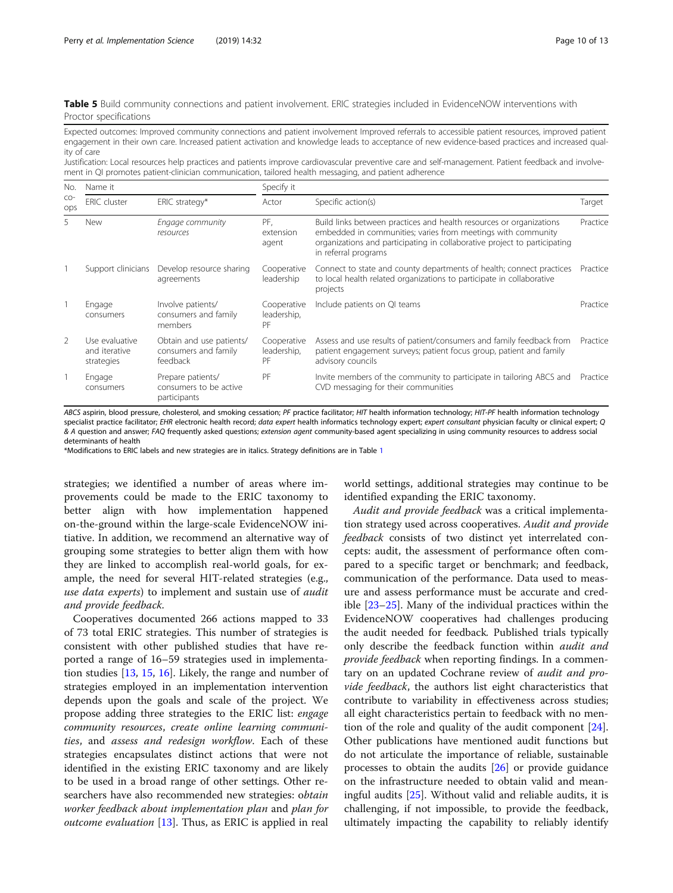<span id="page-9-0"></span>Table 5 Build community connections and patient involvement. ERIC strategies included in EvidenceNOW interventions with Proctor specifications

Expected outcomes: Improved community connections and patient involvement Improved referrals to accessible patient resources, improved patient engagement in their own care. Increased patient activation and knowledge leads to acceptance of new evidence-based practices and increased quality of care

Justification: Local resources help practices and patients improve cardiovascular preventive care and self-management. Patient feedback and involvement in QI promotes patient-clinician communication, tailored health messaging, and patient adherence

| No.<br>$CO-$<br>ops      | Name it                                       |                                                              | Specify it                       |                                                                                                                                                                                                                                          |          |  |
|--------------------------|-----------------------------------------------|--------------------------------------------------------------|----------------------------------|------------------------------------------------------------------------------------------------------------------------------------------------------------------------------------------------------------------------------------------|----------|--|
|                          | <b>ERIC</b> cluster                           | ERIC strategy*                                               | Actor                            | Specific action(s)                                                                                                                                                                                                                       | Target   |  |
| 5                        | New                                           | Engage community<br>resources                                | PF.<br>extension<br>agent        | Build links between practices and health resources or organizations<br>embedded in communities; varies from meetings with community<br>organizations and participating in collaborative project to participating<br>in referral programs | Practice |  |
|                          | Support clinicians                            | Develop resource sharing<br>agreements                       | Cooperative<br>leadership        | Connect to state and county departments of health; connect practices<br>to local health related organizations to participate in collaborative<br>projects                                                                                | Practice |  |
|                          | Engage<br>consumers                           | Involve patients/<br>consumers and family<br>members         | Cooperative<br>leadership,<br>PF | Include patients on QI teams                                                                                                                                                                                                             | Practice |  |
| $\overline{\phantom{0}}$ | Use evaluative<br>and iterative<br>strategies | Obtain and use patients/<br>consumers and family<br>feedback | Cooperative<br>leadership,<br>PF | Assess and use results of patient/consumers and family feedback from<br>patient engagement surveys; patient focus group, patient and family<br>advisory councils                                                                         | Practice |  |
|                          | Engage<br>consumers                           | Prepare patients/<br>consumers to be active<br>participants  | PF                               | Invite members of the community to participate in tailoring ABCS and<br>CVD messaging for their communities                                                                                                                              | Practice |  |

ABCS aspirin, blood pressure, cholesterol, and smoking cessation; PF practice facilitator; HIT health information technology; HIT-PF health information technology specialist practice facilitator; EHR electronic health record; data expert health informatics technology expert; expert consultant physician faculty or clinical expert; Q & A question and answer; FAQ frequently asked questions; extension agent community-based agent specializing in using community resources to address social determinants of health

\*Modifications to ERIC labels and new strategies are in italics. Strategy definitions are in Table [1](#page-4-0)

strategies; we identified a number of areas where improvements could be made to the ERIC taxonomy to better align with how implementation happened on-the-ground within the large-scale EvidenceNOW initiative. In addition, we recommend an alternative way of grouping some strategies to better align them with how they are linked to accomplish real-world goals, for example, the need for several HIT-related strategies (e.g., use data experts) to implement and sustain use of audit and provide feedback.

Cooperatives documented 266 actions mapped to 33 of 73 total ERIC strategies. This number of strategies is consistent with other published studies that have reported a range of 16–59 strategies used in implementation studies [\[13](#page-12-0), [15](#page-12-0), [16](#page-12-0)]. Likely, the range and number of strategies employed in an implementation intervention depends upon the goals and scale of the project. We propose adding three strategies to the ERIC list: engage community resources, create online learning communities, and assess and redesign workflow. Each of these strategies encapsulates distinct actions that were not identified in the existing ERIC taxonomy and are likely to be used in a broad range of other settings. Other researchers have also recommended new strategies: obtain worker feedback about implementation plan and plan for *outcome evaluation* [[13\]](#page-12-0). Thus, as ERIC is applied in real

world settings, additional strategies may continue to be identified expanding the ERIC taxonomy.

Audit and provide feedback was a critical implementation strategy used across cooperatives. Audit and provide feedback consists of two distinct yet interrelated concepts: audit, the assessment of performance often compared to a specific target or benchmark; and feedback, communication of the performance. Data used to measure and assess performance must be accurate and credible [[23](#page-12-0)–[25](#page-12-0)]. Many of the individual practices within the EvidenceNOW cooperatives had challenges producing the audit needed for feedback. Published trials typically only describe the feedback function within *audit and* provide feedback when reporting findings. In a commentary on an updated Cochrane review of *audit and provide feedback*, the authors list eight characteristics that contribute to variability in effectiveness across studies; all eight characteristics pertain to feedback with no mention of the role and quality of the audit component [\[24](#page-12-0)]. Other publications have mentioned audit functions but do not articulate the importance of reliable, sustainable processes to obtain the audits [[26\]](#page-12-0) or provide guidance on the infrastructure needed to obtain valid and meaningful audits [[25](#page-12-0)]. Without valid and reliable audits, it is challenging, if not impossible, to provide the feedback, ultimately impacting the capability to reliably identify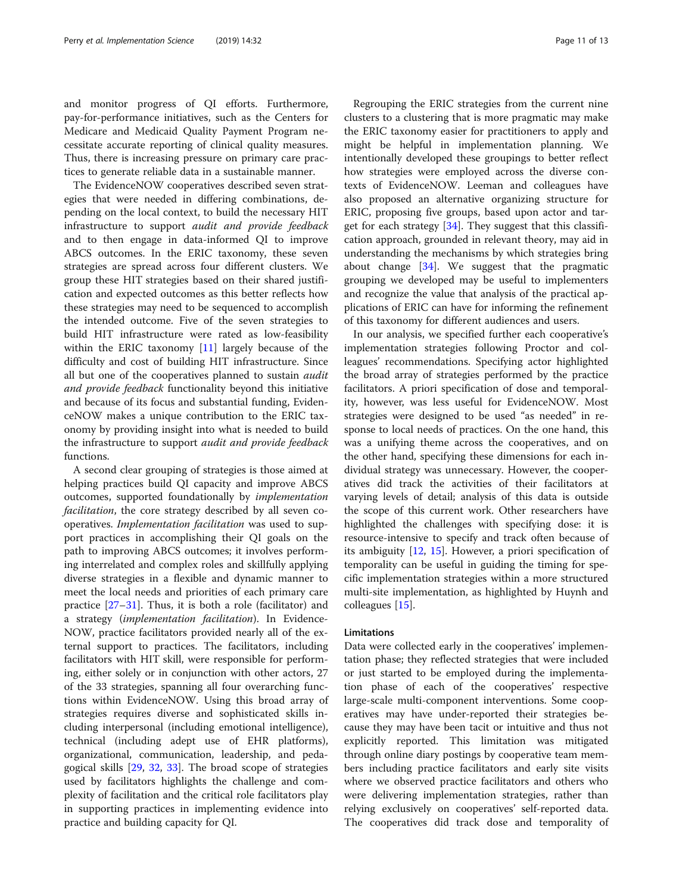and monitor progress of QI efforts. Furthermore, pay-for-performance initiatives, such as the Centers for Medicare and Medicaid Quality Payment Program necessitate accurate reporting of clinical quality measures. Thus, there is increasing pressure on primary care practices to generate reliable data in a sustainable manner.

The EvidenceNOW cooperatives described seven strategies that were needed in differing combinations, depending on the local context, to build the necessary HIT infrastructure to support audit and provide feedback and to then engage in data-informed QI to improve ABCS outcomes. In the ERIC taxonomy, these seven strategies are spread across four different clusters. We group these HIT strategies based on their shared justification and expected outcomes as this better reflects how these strategies may need to be sequenced to accomplish the intended outcome. Five of the seven strategies to build HIT infrastructure were rated as low-feasibility within the ERIC taxonomy [\[11](#page-11-0)] largely because of the difficulty and cost of building HIT infrastructure. Since all but one of the cooperatives planned to sustain *audit* and provide feedback functionality beyond this initiative and because of its focus and substantial funding, EvidenceNOW makes a unique contribution to the ERIC taxonomy by providing insight into what is needed to build the infrastructure to support audit and provide feedback functions.

A second clear grouping of strategies is those aimed at helping practices build QI capacity and improve ABCS outcomes, supported foundationally by implementation facilitation, the core strategy described by all seven cooperatives. Implementation facilitation was used to support practices in accomplishing their QI goals on the path to improving ABCS outcomes; it involves performing interrelated and complex roles and skillfully applying diverse strategies in a flexible and dynamic manner to meet the local needs and priorities of each primary care practice  $[27-31]$  $[27-31]$  $[27-31]$  $[27-31]$  $[27-31]$ . Thus, it is both a role (facilitator) and a strategy (implementation facilitation). In Evidence-NOW, practice facilitators provided nearly all of the external support to practices. The facilitators, including facilitators with HIT skill, were responsible for performing, either solely or in conjunction with other actors, 27 of the 33 strategies, spanning all four overarching functions within EvidenceNOW. Using this broad array of strategies requires diverse and sophisticated skills including interpersonal (including emotional intelligence), technical (including adept use of EHR platforms), organizational, communication, leadership, and pedagogical skills [\[29,](#page-12-0) [32,](#page-12-0) [33](#page-12-0)]. The broad scope of strategies used by facilitators highlights the challenge and complexity of facilitation and the critical role facilitators play in supporting practices in implementing evidence into practice and building capacity for QI.

Regrouping the ERIC strategies from the current nine clusters to a clustering that is more pragmatic may make the ERIC taxonomy easier for practitioners to apply and might be helpful in implementation planning. We intentionally developed these groupings to better reflect how strategies were employed across the diverse contexts of EvidenceNOW. Leeman and colleagues have also proposed an alternative organizing structure for ERIC, proposing five groups, based upon actor and target for each strategy  $[34]$ . They suggest that this classification approach, grounded in relevant theory, may aid in understanding the mechanisms by which strategies bring about change  $[34]$  $[34]$ . We suggest that the pragmatic grouping we developed may be useful to implementers and recognize the value that analysis of the practical applications of ERIC can have for informing the refinement of this taxonomy for different audiences and users.

In our analysis, we specified further each cooperative's implementation strategies following Proctor and colleagues' recommendations. Specifying actor highlighted the broad array of strategies performed by the practice facilitators. A priori specification of dose and temporality, however, was less useful for EvidenceNOW. Most strategies were designed to be used "as needed" in response to local needs of practices. On the one hand, this was a unifying theme across the cooperatives, and on the other hand, specifying these dimensions for each individual strategy was unnecessary. However, the cooperatives did track the activities of their facilitators at varying levels of detail; analysis of this data is outside the scope of this current work. Other researchers have highlighted the challenges with specifying dose: it is resource-intensive to specify and track often because of its ambiguity [\[12](#page-11-0), [15\]](#page-12-0). However, a priori specification of temporality can be useful in guiding the timing for specific implementation strategies within a more structured multi-site implementation, as highlighted by Huynh and colleagues [\[15](#page-12-0)].

#### Limitations

Data were collected early in the cooperatives' implementation phase; they reflected strategies that were included or just started to be employed during the implementation phase of each of the cooperatives' respective large-scale multi-component interventions. Some cooperatives may have under-reported their strategies because they may have been tacit or intuitive and thus not explicitly reported. This limitation was mitigated through online diary postings by cooperative team members including practice facilitators and early site visits where we observed practice facilitators and others who were delivering implementation strategies, rather than relying exclusively on cooperatives' self-reported data. The cooperatives did track dose and temporality of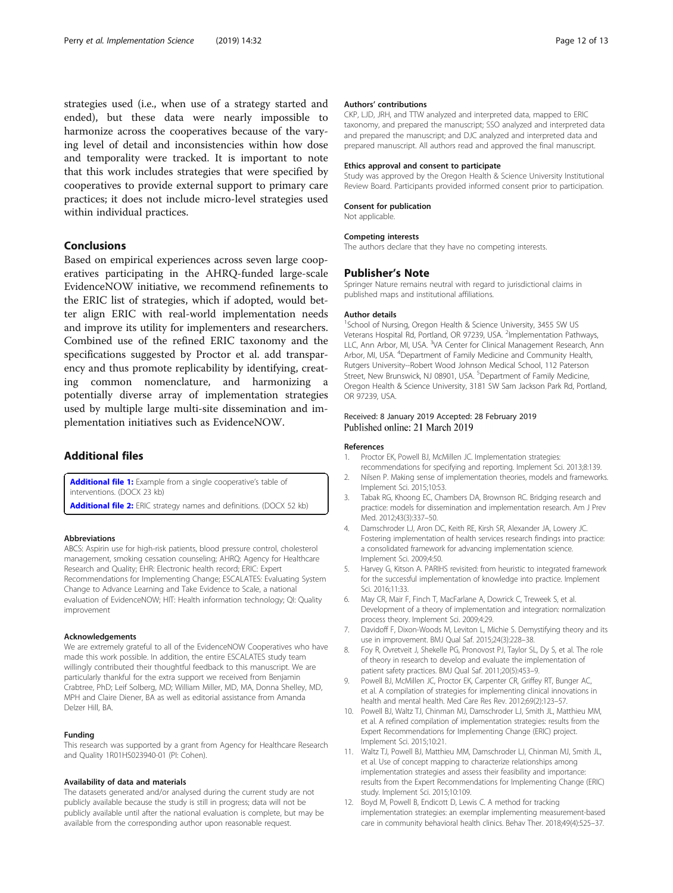<span id="page-11-0"></span>strategies used (i.e., when use of a strategy started and ended), but these data were nearly impossible to harmonize across the cooperatives because of the varying level of detail and inconsistencies within how dose and temporality were tracked. It is important to note that this work includes strategies that were specified by cooperatives to provide external support to primary care practices; it does not include micro-level strategies used within individual practices.

#### Conclusions

Based on empirical experiences across seven large cooperatives participating in the AHRQ-funded large-scale EvidenceNOW initiative, we recommend refinements to the ERIC list of strategies, which if adopted, would better align ERIC with real-world implementation needs and improve its utility for implementers and researchers. Combined use of the refined ERIC taxonomy and the specifications suggested by Proctor et al. add transparency and thus promote replicability by identifying, creating common nomenclature, and harmonizing a potentially diverse array of implementation strategies used by multiple large multi-site dissemination and implementation initiatives such as EvidenceNOW.

### Additional files

[Additional file 1:](https://doi.org/10.1186/s13012-019-0876-4) Example from a single cooperative's table of interventions. (DOCX 23 kb)

[Additional file 2:](https://doi.org/10.1186/s13012-019-0876-4) ERIC strategy names and definitions. (DOCX 52 kb)

#### Abbreviations

ABCS: Aspirin use for high-risk patients, blood pressure control, cholesterol management, smoking cessation counseling; AHRQ: Agency for Healthcare Research and Quality; EHR: Electronic health record; ERIC: Expert Recommendations for Implementing Change; ESCALATES: Evaluating System Change to Advance Learning and Take Evidence to Scale, a national evaluation of EvidenceNOW; HIT: Health information technology; QI: Quality improvement

#### Acknowledgements

We are extremely grateful to all of the EvidenceNOW Cooperatives who have made this work possible. In addition, the entire ESCALATES study team willingly contributed their thoughtful feedback to this manuscript. We are particularly thankful for the extra support we received from Benjamin Crabtree, PhD; Leif Solberg, MD; William Miller, MD, MA, Donna Shelley, MD, MPH and Claire Diener, BA as well as editorial assistance from Amanda Delzer Hill, BA.

#### Funding

This research was supported by a grant from Agency for Healthcare Research and Quality 1R01HS023940-01 (PI: Cohen).

#### Availability of data and materials

The datasets generated and/or analysed during the current study are not publicly available because the study is still in progress; data will not be publicly available until after the national evaluation is complete, but may be available from the corresponding author upon reasonable request.

#### Authors' contributions

CKP, LJD, JRH, and TTW analyzed and interpreted data, mapped to ERIC taxonomy, and prepared the manuscript; SSO analyzed and interpreted data and prepared the manuscript; and DJC analyzed and interpreted data and prepared manuscript. All authors read and approved the final manuscript.

#### Ethics approval and consent to participate

Study was approved by the Oregon Health & Science University Institutional Review Board. Participants provided informed consent prior to participation.

#### Consent for publication

Not applicable.

#### Competing interests

The authors declare that they have no competing interests.

#### Publisher's Note

Springer Nature remains neutral with regard to jurisdictional claims in published maps and institutional affiliations.

#### Author details

<sup>1</sup>School of Nursing, Oregon Health & Science University, 3455 SW US Veterans Hospital Rd, Portland, OR 97239, USA. <sup>2</sup>Implementation Pathways, LLC, Ann Arbor, MI, USA. <sup>3</sup>VA Center for Clinical Management Research, Ann Arbor, MI, USA. <sup>4</sup>Department of Family Medicine and Community Health Rutgers University--Robert Wood Johnson Medical School, 112 Paterson Street, New Brunswick, NJ 08901, USA. <sup>5</sup>Department of Family Medicine, Oregon Health & Science University, 3181 SW Sam Jackson Park Rd, Portland, OR 97239, USA.

#### Received: 8 January 2019 Accepted: 28 February 2019 Published online: 21 March 2019

#### References

- 1. Proctor EK, Powell BJ, McMillen JC. Implementation strategies: recommendations for specifying and reporting. Implement Sci. 2013;8:139.
- 2. Nilsen P. Making sense of implementation theories, models and frameworks. Implement Sci. 2015;10:53.
- 3. Tabak RG, Khoong EC, Chambers DA, Brownson RC. Bridging research and practice: models for dissemination and implementation research. Am J Prev Med. 2012;43(3):337–50.
- 4. Damschroder LJ, Aron DC, Keith RE, Kirsh SR, Alexander JA, Lowery JC. Fostering implementation of health services research findings into practice: a consolidated framework for advancing implementation science. Implement Sci. 2009;4:50.
- 5. Harvey G, Kitson A. PARIHS revisited: from heuristic to integrated framework for the successful implementation of knowledge into practice. Implement Sci. 2016;11:33.
- 6. May CR, Mair F, Finch T, MacFarlane A, Dowrick C, Treweek S, et al. Development of a theory of implementation and integration: normalization process theory. Implement Sci. 2009;4:29.
- 7. Davidoff F, Dixon-Woods M, Leviton L, Michie S. Demystifying theory and its use in improvement. BMJ Qual Saf. 2015;24(3):228–38.
- 8. Foy R, Ovretveit J, Shekelle PG, Pronovost PJ, Taylor SL, Dy S, et al. The role of theory in research to develop and evaluate the implementation of patient safety practices. BMJ Qual Saf. 2011;20(5):453–9.
- 9. Powell BJ, McMillen JC, Proctor EK, Carpenter CR, Griffey RT, Bunger AC, et al. A compilation of strategies for implementing clinical innovations in health and mental health. Med Care Res Rev. 2012;69(2):123–57.
- 10. Powell BJ, Waltz TJ, Chinman MJ, Damschroder LJ, Smith JL, Matthieu MM, et al. A refined compilation of implementation strategies: results from the Expert Recommendations for Implementing Change (ERIC) project. Implement Sci. 2015;10:21.
- 11. Waltz TJ, Powell BJ, Matthieu MM, Damschroder LJ, Chinman MJ, Smith JL, et al. Use of concept mapping to characterize relationships among implementation strategies and assess their feasibility and importance: results from the Expert Recommendations for Implementing Change (ERIC) study. Implement Sci. 2015;10:109.
- 12. Boyd M, Powell B, Endicott D, Lewis C. A method for tracking implementation strategies: an exemplar implementing measurement-based care in community behavioral health clinics. Behav Ther. 2018;49(4):525–37.